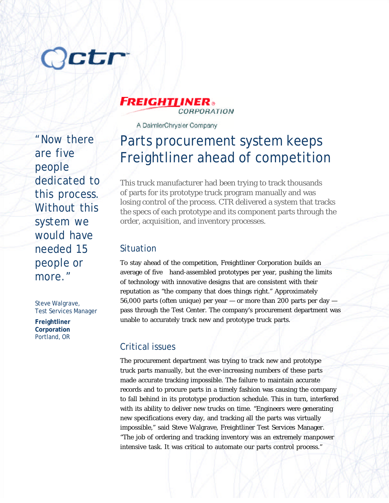# **Jetr**

"Now there are five people dedicated to this process. Without this system we would have needed 15 people or more."

Steve Walgrave, Test Services Manager

**Freightliner Corporation** Portland, OR

#### **FREIGHTI INER®** CORPORATION

A DaimlerChrysler Company

## Parts procurement system keeps Freightliner ahead of competition

This truck manufacturer had been trying to track thousands of parts for its prototype truck program manually and was losing control of the process. CTR delivered a system that tracks the specs of each prototype and its component parts through the order, acquisition, and inventory processes.

#### Situation

To stay ahead of the competition, Freightliner Corporation builds an average of five hand-assembled prototypes per year, pushing the limits of technology with innovative designs that are consistent with their reputation as "the company that does things right." Approximately 56,000 parts (often unique) per year — or more than 200 parts per day pass through the Test Center. The company's procurement department was unable to accurately track new and prototype truck parts.

### Critical issues

The procurement department was trying to track new and prototype truck parts manually, but the ever-increasing numbers of these parts made accurate tracking impossible. The failure to maintain accurate records and to procure parts in a timely fashion was causing the company to fall behind in its prototype production schedule. This in turn, interfered with its ability to deliver new trucks on time. "Engineers were generating new specifications every day, and tracking all the parts was virtually impossible," said Steve Walgrave, Freightliner Test Services Manager. "The job of ordering and tracking inventory was an extremely manpower intensive task. It was critical to automate our parts control process."